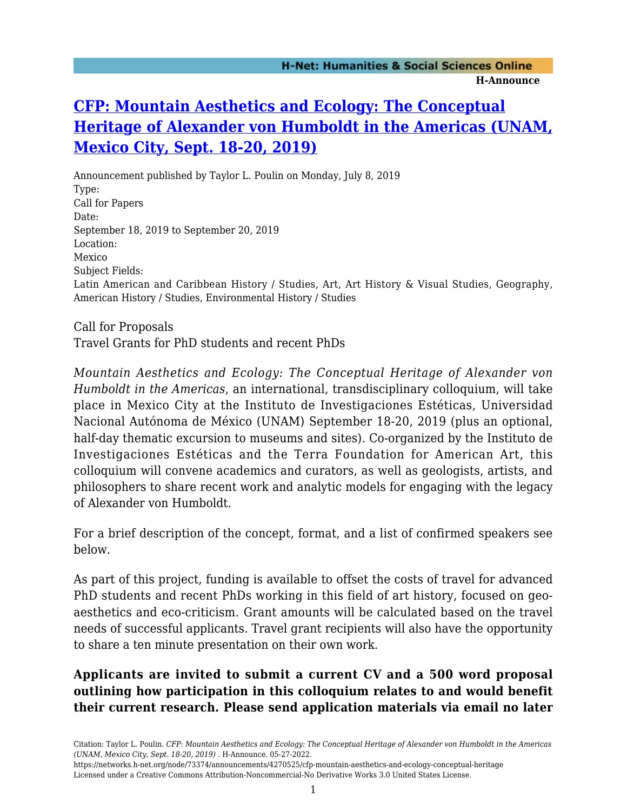# **[CFP: Mountain Aesthetics and Ecology: The Conceptual](https://networks.h-net.org/node/73374/announcements/4270525/cfp-mountain-aesthetics-and-ecology-conceptual-heritage) [Heritage of Alexander von Humboldt in the Americas \(UNAM,](https://networks.h-net.org/node/73374/announcements/4270525/cfp-mountain-aesthetics-and-ecology-conceptual-heritage) [Mexico City, Sept. 18-20, 2019\)](https://networks.h-net.org/node/73374/announcements/4270525/cfp-mountain-aesthetics-and-ecology-conceptual-heritage)**

Announcement published by Taylor L. Poulin on Monday, July 8, 2019 Type: Call for Papers Date: September 18, 2019 to September 20, 2019 Location: Mexico Subject Fields: Latin American and Caribbean History / Studies, Art, Art History & Visual Studies, Geography, American History / Studies, Environmental History / Studies

Call for Proposals Travel Grants for PhD students and recent PhDs

*Mountain Aesthetics and Ecology: The Conceptual Heritage of Alexander von Humboldt in the Americas*, an international, transdisciplinary colloquium, will take place in Mexico City at the Instituto de Investigaciones Estéticas, Universidad Nacional Autónoma de México (UNAM) September 18-20, 2019 (plus an optional, half-day thematic excursion to museums and sites). Co-organized by the Instituto de Investigaciones Estéticas and the Terra Foundation for American Art, this colloquium will convene academics and curators, as well as geologists, artists, and philosophers to share recent work and analytic models for engaging with the legacy of Alexander von Humboldt.

For a brief description of the concept, format, and a list of confirmed speakers see below.

As part of this project, funding is available to offset the costs of travel for advanced PhD students and recent PhDs working in this field of art history, focused on geoaesthetics and eco-criticism. Grant amounts will be calculated based on the travel needs of successful applicants. Travel grant recipients will also have the opportunity to share a ten minute presentation on their own work.

## **Applicants are invited to submit a current CV and a 500 word proposal outlining how participation in this colloquium relates to and would benefit their current research. Please send application materials via email no later**

https://networks.h-net.org/node/73374/announcements/4270525/cfp-mountain-aesthetics-and-ecology-conceptual-heritage Licensed under a Creative Commons Attribution-Noncommercial-No Derivative Works 3.0 United States License.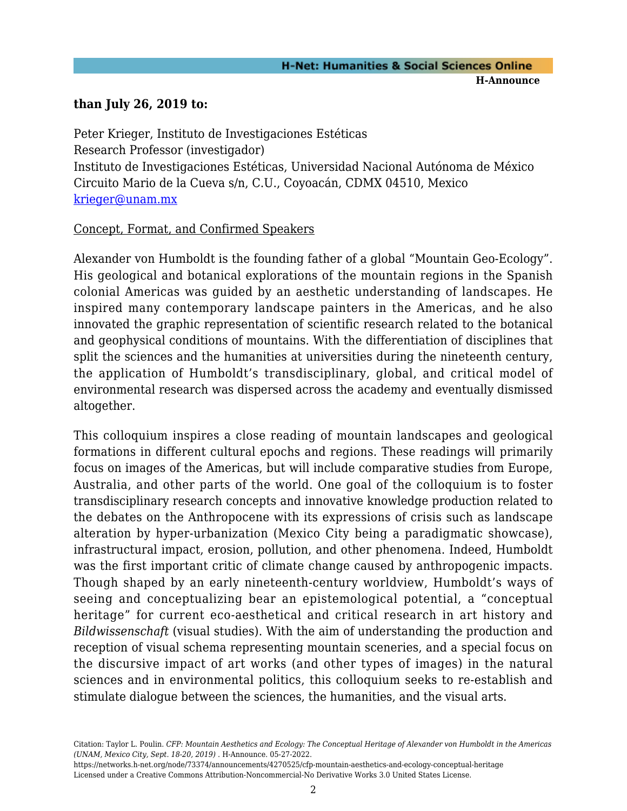## **than July 26, 2019 to:**

Peter Krieger, Instituto de Investigaciones Estéticas Research Professor (investigador) Instituto de Investigaciones Estéticas, Universidad Nacional Autónoma de México Circuito Mario de la Cueva s/n, C.U., Coyoacán, CDMX 04510, Mexico [krieger@unam.mx](mailto:krieger@unam.mx)

#### Concept, Format, and Confirmed Speakers

Alexander von Humboldt is the founding father of a global "Mountain Geo-Ecology". His geological and botanical explorations of the mountain regions in the Spanish colonial Americas was guided by an aesthetic understanding of landscapes. He inspired many contemporary landscape painters in the Americas, and he also innovated the graphic representation of scientific research related to the botanical and geophysical conditions of mountains. With the differentiation of disciplines that split the sciences and the humanities at universities during the nineteenth century, the application of Humboldt's transdisciplinary, global, and critical model of environmental research was dispersed across the academy and eventually dismissed altogether.

This colloquium inspires a close reading of mountain landscapes and geological formations in different cultural epochs and regions. These readings will primarily focus on images of the Americas, but will include comparative studies from Europe, Australia, and other parts of the world. One goal of the colloquium is to foster transdisciplinary research concepts and innovative knowledge production related to the debates on the Anthropocene with its expressions of crisis such as landscape alteration by hyper-urbanization (Mexico City being a paradigmatic showcase), infrastructural impact, erosion, pollution, and other phenomena. Indeed, Humboldt was the first important critic of climate change caused by anthropogenic impacts. Though shaped by an early nineteenth-century worldview, Humboldt's ways of seeing and conceptualizing bear an epistemological potential, a "conceptual heritage" for current eco-aesthetical and critical research in art history and *Bildwissenschaft* (visual studies). With the aim of understanding the production and reception of visual schema representing mountain sceneries, and a special focus on the discursive impact of art works (and other types of images) in the natural sciences and in environmental politics, this colloquium seeks to re-establish and stimulate dialogue between the sciences, the humanities, and the visual arts.

Citation: Taylor L. Poulin. *CFP: Mountain Aesthetics and Ecology: The Conceptual Heritage of Alexander von Humboldt in the Americas (UNAM, Mexico City, Sept. 18-20, 2019)* . H-Announce. 05-27-2022.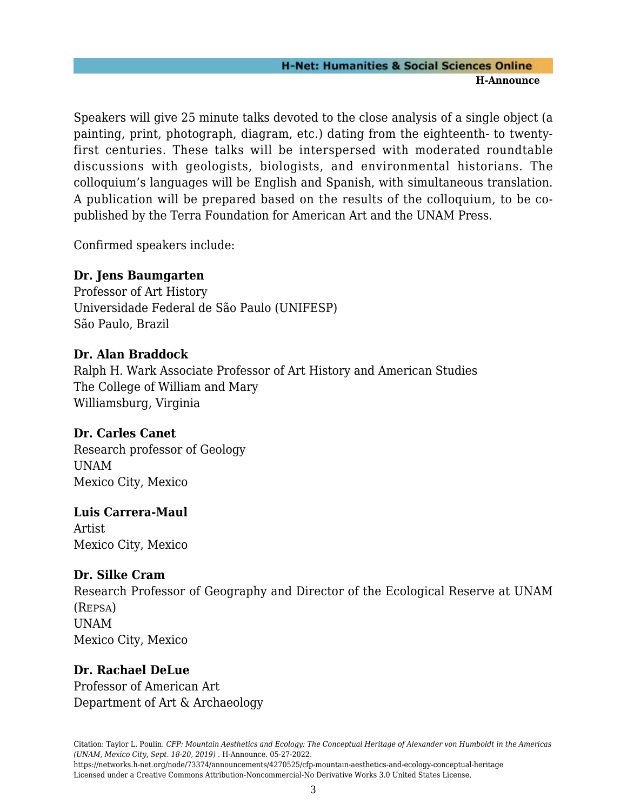#### **H-Net: Humanities & Social Sciences Online H-Announce**

Speakers will give 25 minute talks devoted to the close analysis of a single object (a painting, print, photograph, diagram, etc.) dating from the eighteenth- to twentyfirst centuries. These talks will be interspersed with moderated roundtable discussions with geologists, biologists, and environmental historians. The colloquium's languages will be English and Spanish, with simultaneous translation. A publication will be prepared based on the results of the colloquium, to be copublished by the Terra Foundation for American Art and the UNAM Press.

Confirmed speakers include:

## **Dr. Jens Baumgarten**

Professor of Art History Universidade Federal de São Paulo (UNIFESP) São Paulo, Brazil

#### **Dr. Alan Braddock**

Ralph H. Wark Associate Professor of Art History and American Studies The College of William and Mary Williamsburg, Virginia

## **Dr. Carles Canet**

Research professor of Geology UNAM Mexico City, Mexico

#### **Luis Carrera-Maul**

Artist Mexico City, Mexico

#### **Dr. Silke Cram**

Research Professor of Geography and Director of the Ecological Reserve at UNAM (REPSA) UNAM Mexico City, Mexico

#### **Dr. Rachael DeLue**

Professor of American Art Department of Art & Archaeology

Licensed under a Creative Commons Attribution-Noncommercial-No Derivative Works 3.0 United States License.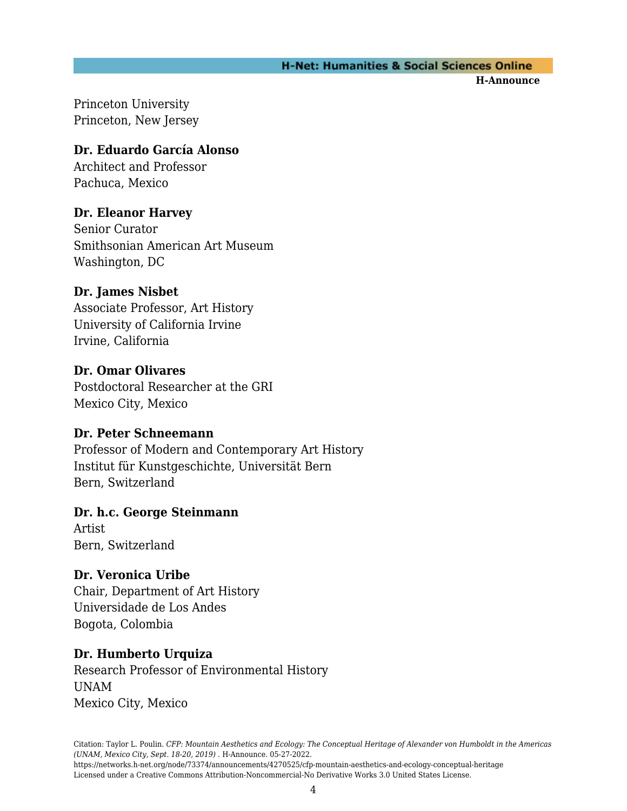#### **H-Net: Humanities & Social Sciences Online**

**H-Announce** 

Princeton University Princeton, New Jersey

## **Dr. Eduardo García Alonso**

Architect and Professor Pachuca, Mexico

## **Dr. Eleanor Harvey**

Senior Curator Smithsonian American Art Museum Washington, DC

## **Dr. James Nisbet**

Associate Professor, Art History University of California Irvine Irvine, California

## **Dr. Omar Olivares**

Postdoctoral Researcher at the GRI Mexico City, Mexico

## **Dr. Peter Schneemann**

Professor of Modern and Contemporary Art History Institut für Kunstgeschichte, Universität Bern Bern, Switzerland

## **Dr. h.c. George Steinmann**

Artist Bern, Switzerland

## **Dr. Veronica Uribe**

Chair, Department of Art History Universidade de Los Andes Bogota, Colombia

## **Dr. Humberto Urquiza**

Research Professor of Environmental History UNAM Mexico City, Mexico

Citation: Taylor L. Poulin. *CFP: Mountain Aesthetics and Ecology: The Conceptual Heritage of Alexander von Humboldt in the Americas (UNAM, Mexico City, Sept. 18-20, 2019)* . H-Announce. 05-27-2022.

https://networks.h-net.org/node/73374/announcements/4270525/cfp-mountain-aesthetics-and-ecology-conceptual-heritage Licensed under a Creative Commons Attribution-Noncommercial-No Derivative Works 3.0 United States License.